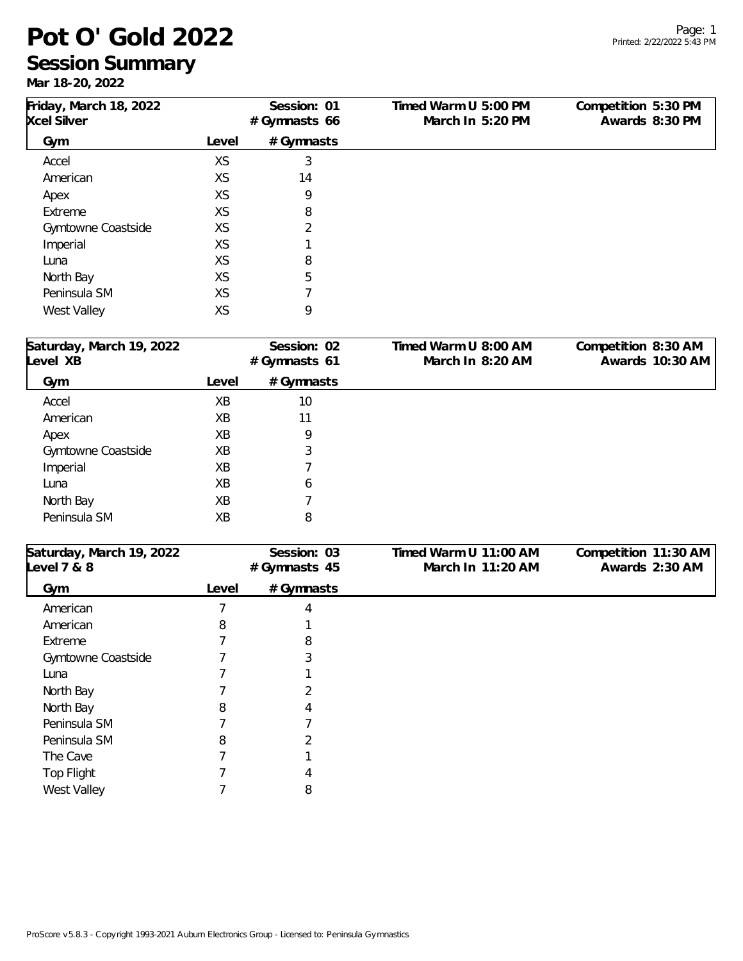# **Pot O' Gold 2022**

#### **Session Summary**

**Mar 18-20, 2022**

| Friday, March 18, 2022   |       | Session: 01  | Timed Warm U 5:00 PM  | Competition 5:30 PM  |
|--------------------------|-------|--------------|-----------------------|----------------------|
| <b>Xcel Silver</b>       |       | #Gymnasts 66 | March In 5:20 PM      | Awards 8:30 PM       |
| Gym                      | Level | # Gymnasts   |                       |                      |
| Accel                    | XS    | 3            |                       |                      |
| American                 | XS    | 14           |                       |                      |
| Apex                     | XS    | 9            |                       |                      |
| Extreme                  | XS    | 8            |                       |                      |
| Gymtowne Coastside       | XS    | 2            |                       |                      |
| Imperial                 | XS    |              |                       |                      |
| Luna                     | XS    | 8            |                       |                      |
| North Bay                | XS    | 5            |                       |                      |
| Peninsula SM             | XS    | 7            |                       |                      |
| West Valley              | XS    | 9            |                       |                      |
| Saturday, March 19, 2022 |       | Session: 02  | Timed Warm U 8:00 AM  | Competition 8:30 AM  |
| evel XB                  |       | #Gymnasts 61 | March In 8:20 AM      | Awards 10:30 AM      |
| Gym                      | Level | #Gymnasts    |                       |                      |
| Accel                    | XB    | 10           |                       |                      |
| American                 | XB    | 11           |                       |                      |
| Apex                     | XB    | 9            |                       |                      |
| Gymtowne Coastside       | XB    | 3            |                       |                      |
| Imperial                 | XB    |              |                       |                      |
| Luna                     | XB    | 6            |                       |                      |
| North Bay                | XB    |              |                       |                      |
| Peninsula SM             | XB    | 8            |                       |                      |
| Saturday, March 19, 2022 |       | Session: 03  | Timed Warm U 11:00 AM | Competition 11:30 AM |
| level 7 & 8              |       | #Gymnasts 45 | March In 11:20 AM     | Awards 2:30 AM       |
| Gym                      | Level | # Gymnasts   |                       |                      |
| American                 | 7     | 4            |                       |                      |
| American                 | 8     |              |                       |                      |
| Extreme                  | 7     | 8            |                       |                      |
| Gymtowne Coastside       | 7     | 3            |                       |                      |
| Luna                     | 7     |              |                       |                      |
| North Bay                | 7     | 2            |                       |                      |
| North Bay                | 8     | 4            |                       |                      |
| Peninsula SM             | 7     | 7            |                       |                      |
| Peninsula SM             | 8     | 2            |                       |                      |
| The Cave                 | 7     |              |                       |                      |
| <b>Top Flight</b>        | 7     | 4            |                       |                      |
| West Valley              | 7     | 8            |                       |                      |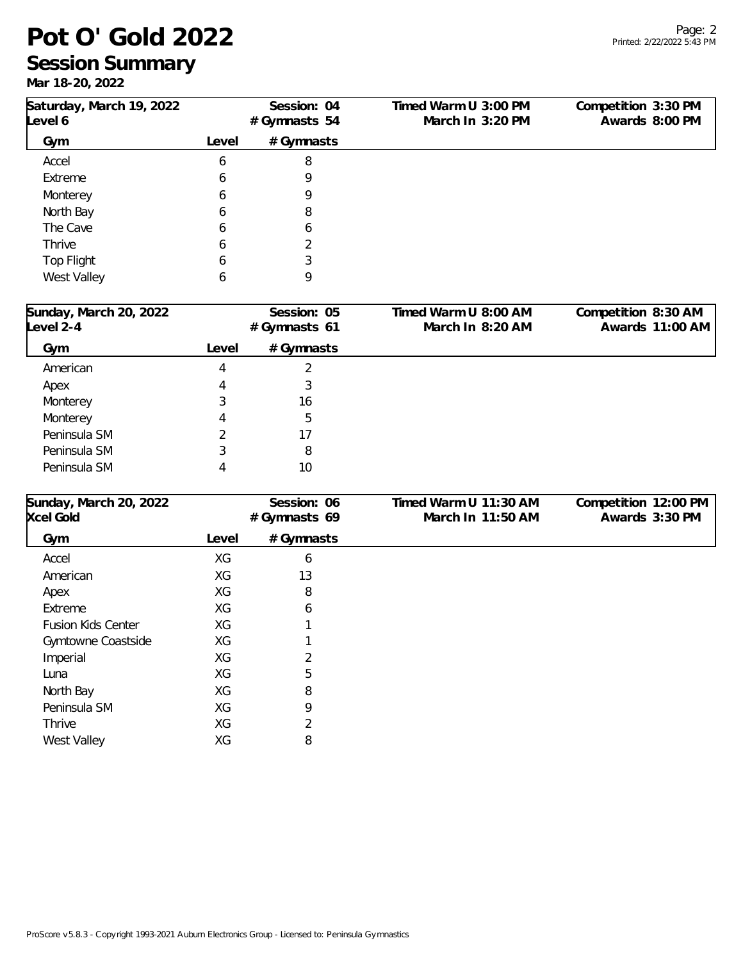## **Pot O' Gold 2022**

# **Session Summary**

**Mar 18-20, 2022**

| Saturday, March 19, 2022<br>Level 6 |       | Session: 04<br>#Gymnasts 54 | Timed Warm U 3:00 PM<br>March In 3:20 PM | Competition 3:30 PM<br>Awards 8:00 PM |
|-------------------------------------|-------|-----------------------------|------------------------------------------|---------------------------------------|
| Gym                                 | Level | # Gymnasts                  |                                          |                                       |
| Accel                               | 6     | 8                           |                                          |                                       |
| Extreme                             | 6     | 9                           |                                          |                                       |
| Monterey                            | 6     | 9                           |                                          |                                       |
| North Bay                           | 6     | 8                           |                                          |                                       |
| The Cave                            | 6     | 6                           |                                          |                                       |
| Thrive                              | 6     | ∍                           |                                          |                                       |
| Top Flight                          | 6     |                             |                                          |                                       |
| West Valley                         | 6     | 9                           |                                          |                                       |
|                                     |       |                             |                                          |                                       |

| Sunday, March 20, 2022<br>Level 2-4 | Session: 05<br>#Gymnasts 61 |            | Timed Warm U 8:00 AM<br>March In 8:20 AM | Competition 8:30 AM<br>Awards 11:00 AM |
|-------------------------------------|-----------------------------|------------|------------------------------------------|----------------------------------------|
| Gym                                 | Level                       | # Gymnasts |                                          |                                        |
| American                            | 4                           |            |                                          |                                        |
| Apex                                |                             | 3          |                                          |                                        |
| Monterey                            |                             | 16         |                                          |                                        |
| Monterey                            | 4                           | 5          |                                          |                                        |
| Peninsula SM                        |                             | 17         |                                          |                                        |
| Peninsula SM                        |                             | 8          |                                          |                                        |
| Peninsula SM                        |                             | 10         |                                          |                                        |

| Sunday, March 20, 2022    |       | Session: 06  | Timed Warm U 11:30 AM | Competition 12:00 PM |
|---------------------------|-------|--------------|-----------------------|----------------------|
| <b>Xcel Gold</b>          |       | #Gymnasts 69 | March In 11:50 AM     | Awards 3:30 PM       |
| Gym                       | Level | # Gymnasts   |                       |                      |
| Accel                     | XG    | 6            |                       |                      |
| American                  | XG    | 13           |                       |                      |
| Apex                      | XG    | 8            |                       |                      |
| Extreme                   | XG    | 6            |                       |                      |
| <b>Fusion Kids Center</b> | XG    |              |                       |                      |
| Gymtowne Coastside        | XG    |              |                       |                      |
| Imperial                  | ХG    | 2            |                       |                      |
| Luna                      | XG    | 5            |                       |                      |
| North Bay                 | ХG    | 8            |                       |                      |
| Peninsula SM              | XG    | 9            |                       |                      |
| Thrive                    | XG    | 2            |                       |                      |
| <b>West Valley</b>        | XG    | 8            |                       |                      |